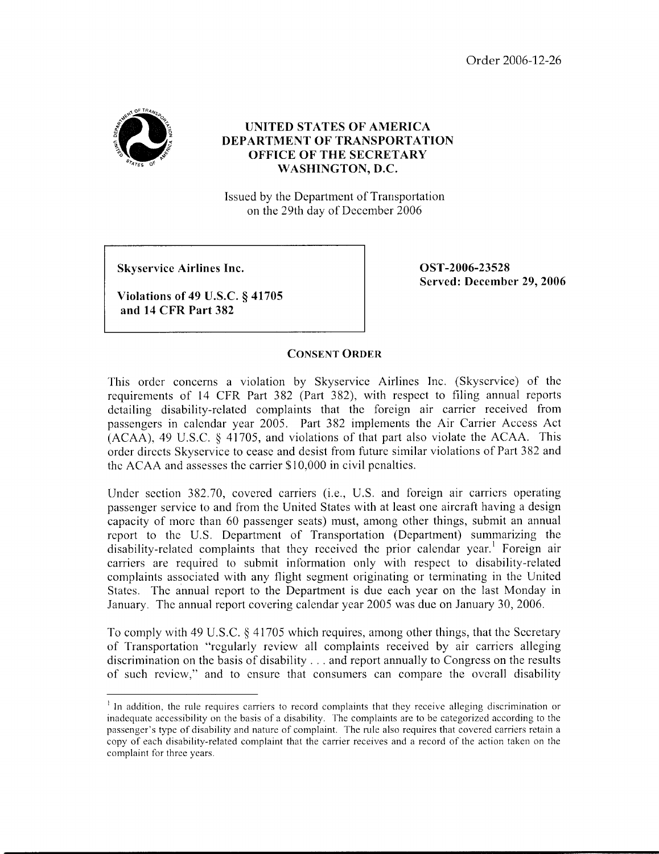Order 2006-12-26



## **UNITED STATES OF AMERICA DEPARTMENT OF TRANSPORTATION OFFICE OF THE SECRETARY WASHINGTON, D.C.**

Issued by the Department of Transportation on the 29th day of December 2006

**Skyservice Airlines Inc.** 

**Violations of 49 U.S.C. § 41705 and 14 CFR Part 382** 

**OST-2006-23528 Served: December 29,2006** 

## **CONSENT ORDER**

This order concerns a violation by Skyservice Airlines Inc. (Skyservice) of the requirements of 14 CFR Part 382 (Part 382), with respect to filing annual reports detailing disability-related complaints that the foreign air carrier received from passengers in calcndar year 2005. Part 382 implements the Air Carrier Access Act (ACAA), 49 U.S.C. **8** 41705, and violations of that part also violate the ACAA. This order directs Skyservice to cease and desist from future similar violations of Part 382 and the ACAA and assesses thc carrier \$10,000 in civil penalties.

Under section 382.70, covered carriers (*i.e.*, U.S. and foreign air carriers operating passenger service to and from the United States with at least one aircraft having a design capacity of more than 60 passenger seats) must, among other things, submit an annual report to the U.S. Department of Transportation (Department) summarizing the disability-related complaints that they rcccivcd the prior calendar year.' Foreign air carriers are required to submit information only with respect to disability-related complaints associated with any flight segment originating or terminating in the United States. The annual report to the Department is due each year on the last Monday in January. The annual report covering calendar year 2005 was due on January 30, 2006.

To comply with 49 U.S.C. *3* 4 1705 which requires, among other things, that the Sccretary of Transportation "regularly revicw all complaints received by air carricrs alleging discrimination on the basis of disability . . . and report annually to Congress on the results of such review," and to ensure that consumers can compare the ovcrall disability

 $<sup>1</sup>$  In addition, the rule requires carriers to record complaints that they receive alleging discrimination or</sup> inadequate accessibility on the basis of a disability. The complaints are to be categorized according to the passenger's type of disability and nature of complaint. The rule also requires that covered carriers retain a copy of each disability-related complaint that the carrier receives and a record of the action taken on the complaint for three years.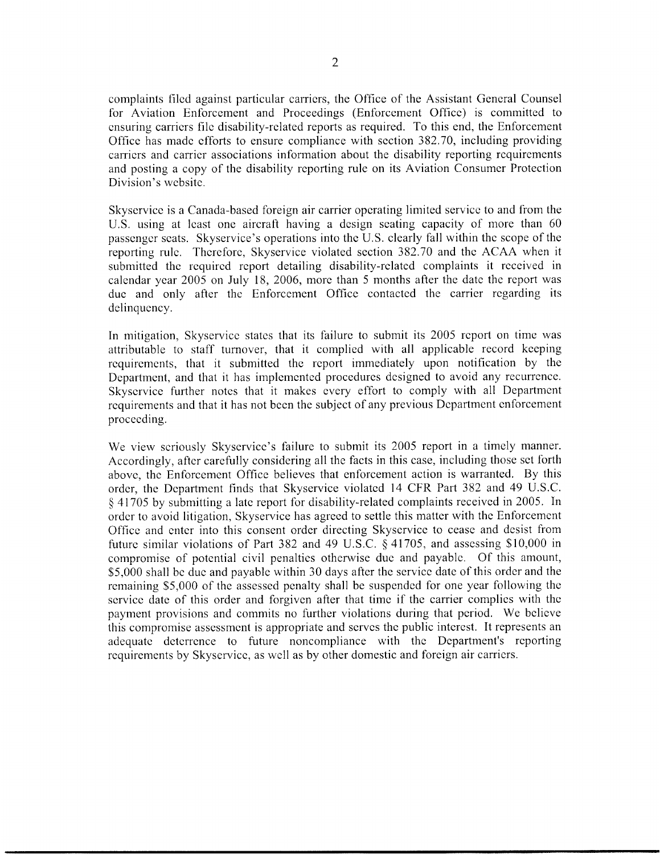complaints filed against particular carriers, the Office of the Assistant General Counsel for Aviation Enforcement and Proceedings (Enforcement Office) is committed to ensuring carriers file disability-related reports as required. To this end, the Enforcement Office has made efforts to ensure compliance with section 382.70, including providing carriers and carrier associations information about the disability reporting requirements and posting a copy of the disability reporting rule on its Aviation Consumer Protection Division's website.

Skyservice is a Canada-based foreign air carrier operating limited service to and from the U.S. using at least one aircraft having a design seating capacity of more than 60 passenger seats. Skyservice's operations into the U.S. clearly fall within the scope of the reporting rule. Therefore, Skyservice violated section 382.70 and the ACAA when it submitted the required report detailing disability-related complaints it received in calendar year 2005 on July 18, 2006, more than *5* months after the date the report was due and only after the Enforcement Office contacted the carrier regarding its delinquency.

In mitigation, Skyservice states that its failure to submit its 2005 report on time was attributable to staff turnover, that it complied with all applicable record keeping requirements, that it submitted the report immediately upon notification by the Department, and that it has implemented procedures designed to avoid any recurrence. Skyservice further notes that it makes every effort to comply with all Department requirements and that it has not been the subject of any previous Department enforcement proceeding.

We view seriously Skyservice's failure to submit its 2005 report in a timely manner. Accordingly, after carefully considering all the facts in this case, including those set forth above, the Enforcement Office believes that enforcement action is warranted. By this order, the Department finds that Skyservice violated 14 CFR Part 382 and 49 U.S.C. *5* 41705 by submitting a late report for disability-related complaints received in 2005. In order to avoid litigation, Skyservice has agreed to settle this matter with the Enforcement Office and enter into this consent order directing Skyservice to cease and desist from future similar violations of Part 382 and 49 U.S.C. **8** 41705, and assessing \$10,000 in compromise of potential civil penalties otherwise due and payable. Of this amount, \$5,000 shall be due and payable within 30 days after the service date of this order and the remaining \$5,000 of the assessed penalty shall be suspended for one year following the service date of this order and forgiven after that time if the carrier complies with the payment provisions and commits no further violations during that period. We believe this compromise assessment is appropriate and serves the public interest. It represents an adequate deterrence to future noncompliance with the Department's reporting requirements by Skyservice, as well as by other domestic and foreign air carriers.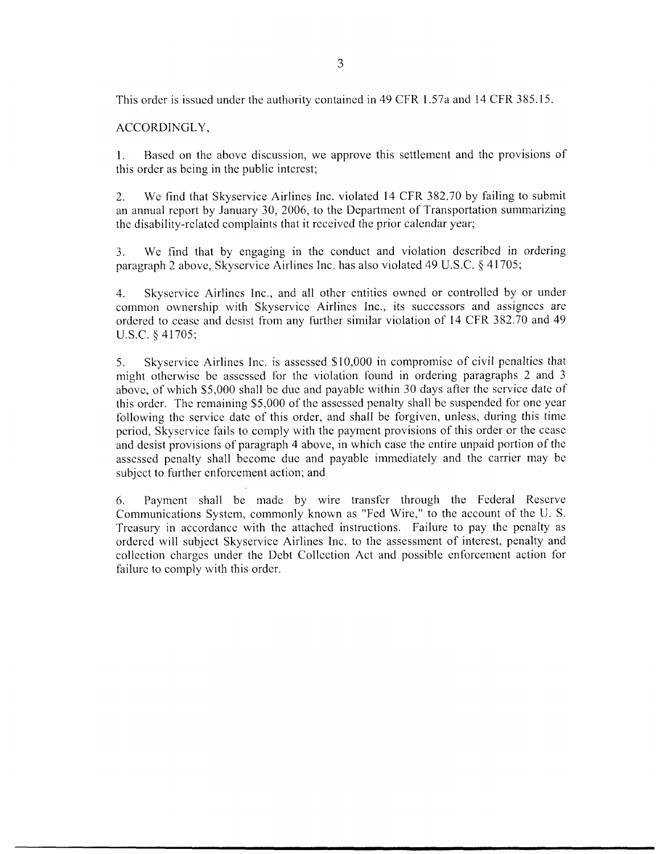This order is issued under the authority contained in 49 CFR 1.57a and 14 CFR 385.15

ACCORDINGLY,

1. Based on the above discussion, we approve this settlement and the provisions of this order as being in the public interest;

2. We find that Skyservice Airlines Inc. violated 14 CFR 382.70 by failing to submit an annual report by January 30, 2006, to the Department of Transportation summarizing the disability-related complaints that it received the prior calendar year;

3. We find that by engaging in the conduct and violation described in ordering paragraph 2 above, Skyservice Airlines Inc. has also violated 49 U.S.C. **9** 41705;

4. Skyservice Airlines Inc., and all other entities owned or controlled by or under common ownership with Skyservice Airlines Inc., its successors and assignees are ordered to cease and desist from any further similar violation of 14 CFR 382.70 and 49 U.S.C. § 41705;

*5.* Skyservice Airlines Inc. is assessed \$10,000 in compromise of civil penalties that might otherwise be assessed for the violation found in ordering paragraphs 2 and 3 above, of which \$5,000 shall be due and payable within 30 days after the service date of this order. The remaining \$5,000 of the assessed penalty shall be suspended for one year following the service date of this order, and shall be forgiven, unless, during this time period, Skyservice fails to comply with the payment provisions of this order or the cease and desist provisions of paragraph 4 above, in which case the entire unpaid portion of the assessed penalty shall become due and payable immediately and the carrier may bc subject to further enforcement action; and

6. Payment shall be made by wire transfer through the Fcderal Reserve Communications System, commonly known as "Fcd Wire," to the account of the U. S. Treasury in accordance with the attached instructions. Failure to pay the penalty as ordercd will subject Skyservice Airlines Inc. to the assessment of interest, penalty and collection charges under the Debt Collection Act and possible enforcement action for failure to comply with this order.